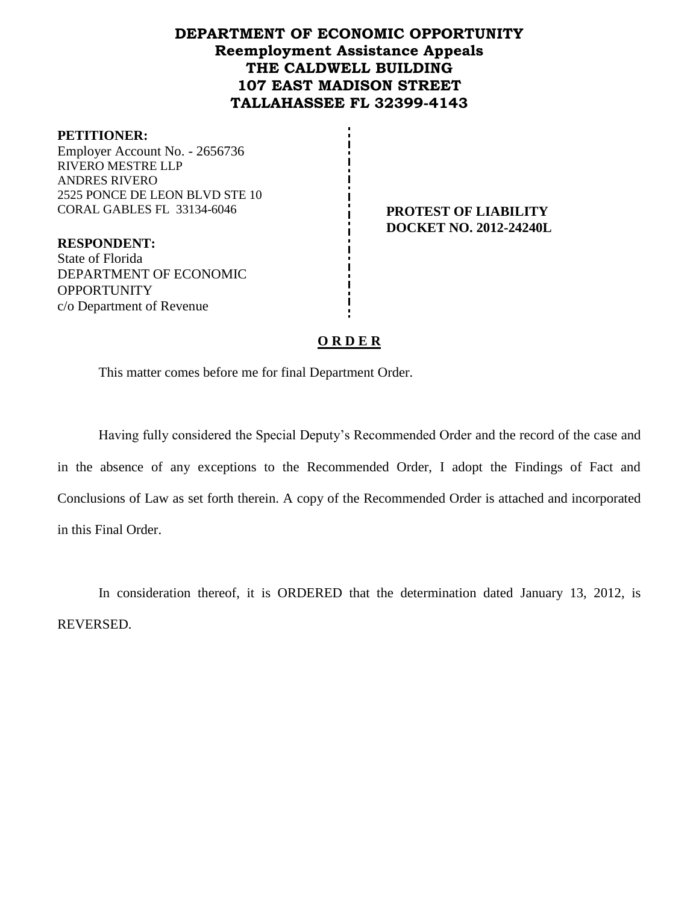# **DEPARTMENT OF ECONOMIC OPPORTUNITY Reemployment Assistance Appeals THE CALDWELL BUILDING 107 EAST MADISON STREET TALLAHASSEE FL 32399-4143**

#### **PETITIONER:**

Employer Account No. - 2656736 RIVERO MESTRE LLP ANDRES RIVERO 2525 PONCE DE LEON BLVD STE 10 CORAL GABLES FL 33134-6046 **PROTEST OF LIABILITY**

**RESPONDENT:** State of Florida DEPARTMENT OF ECONOMIC **OPPORTUNITY** c/o Department of Revenue

**DOCKET NO. 2012-24240L**

## **O R D E R**

This matter comes before me for final Department Order.

Having fully considered the Special Deputy's Recommended Order and the record of the case and in the absence of any exceptions to the Recommended Order, I adopt the Findings of Fact and Conclusions of Law as set forth therein. A copy of the Recommended Order is attached and incorporated in this Final Order.

In consideration thereof, it is ORDERED that the determination dated January 13, 2012, is REVERSED.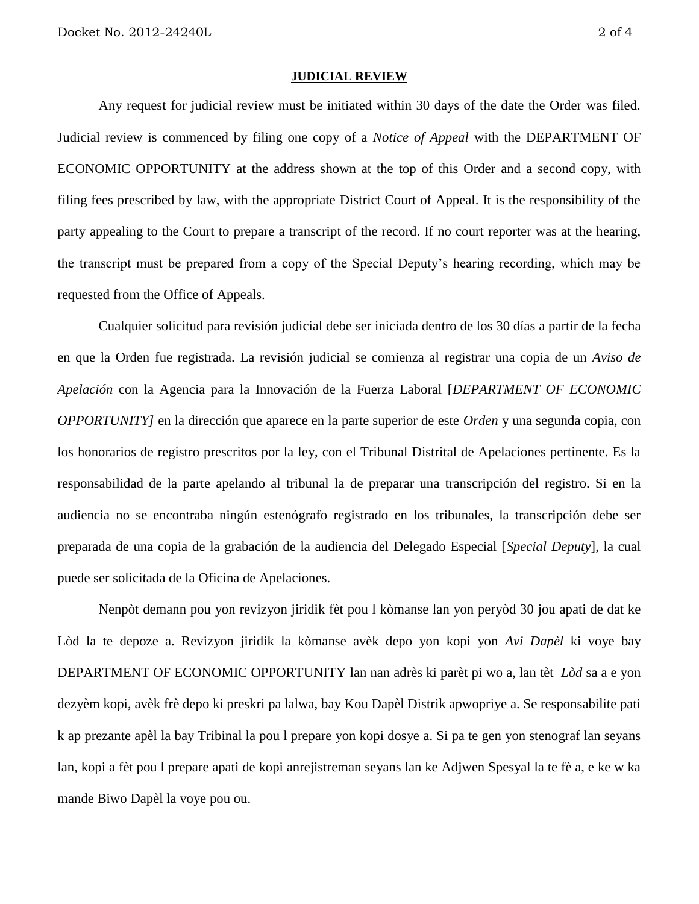#### **JUDICIAL REVIEW**

Any request for judicial review must be initiated within 30 days of the date the Order was filed. Judicial review is commenced by filing one copy of a *Notice of Appeal* with the DEPARTMENT OF ECONOMIC OPPORTUNITY at the address shown at the top of this Order and a second copy, with filing fees prescribed by law, with the appropriate District Court of Appeal. It is the responsibility of the party appealing to the Court to prepare a transcript of the record. If no court reporter was at the hearing, the transcript must be prepared from a copy of the Special Deputy's hearing recording, which may be requested from the Office of Appeals.

Cualquier solicitud para revisión judicial debe ser iniciada dentro de los 30 días a partir de la fecha en que la Orden fue registrada. La revisión judicial se comienza al registrar una copia de un *Aviso de Apelación* con la Agencia para la Innovación de la Fuerza Laboral [*DEPARTMENT OF ECONOMIC OPPORTUNITY]* en la dirección que aparece en la parte superior de este *Orden* y una segunda copia, con los honorarios de registro prescritos por la ley, con el Tribunal Distrital de Apelaciones pertinente. Es la responsabilidad de la parte apelando al tribunal la de preparar una transcripción del registro. Si en la audiencia no se encontraba ningún estenógrafo registrado en los tribunales, la transcripción debe ser preparada de una copia de la grabación de la audiencia del Delegado Especial [*Special Deputy*], la cual puede ser solicitada de la Oficina de Apelaciones.

Nenpòt demann pou yon revizyon jiridik fèt pou l kòmanse lan yon peryòd 30 jou apati de dat ke Lòd la te depoze a. Revizyon jiridik la kòmanse avèk depo yon kopi yon *Avi Dapèl* ki voye bay DEPARTMENT OF ECONOMIC OPPORTUNITY lan nan adrès ki parèt pi wo a, lan tèt *Lòd* sa a e yon dezyèm kopi, avèk frè depo ki preskri pa lalwa, bay Kou Dapèl Distrik apwopriye a. Se responsabilite pati k ap prezante apèl la bay Tribinal la pou l prepare yon kopi dosye a. Si pa te gen yon stenograf lan seyans lan, kopi a fèt pou l prepare apati de kopi anrejistreman seyans lan ke Adjwen Spesyal la te fè a, e ke w ka mande Biwo Dapèl la voye pou ou.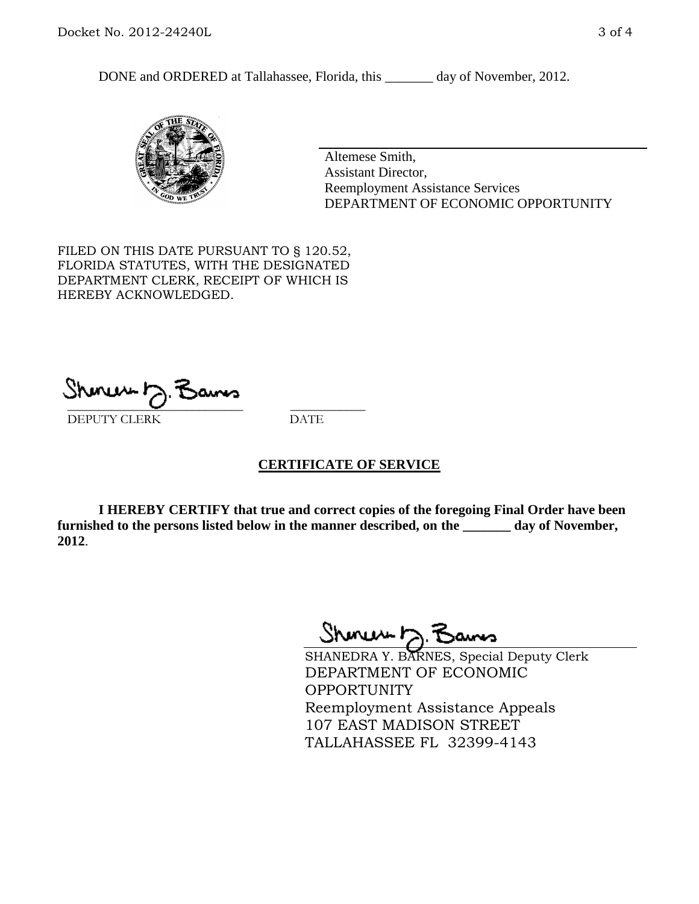DONE and ORDERED at Tallahassee, Florida, this \_\_\_\_\_\_\_ day of November, 2012.



Altemese Smith, Assistant Director, Reemployment Assistance Services DEPARTMENT OF ECONOMIC OPPORTUNITY

FILED ON THIS DATE PURSUANT TO § 120.52, FLORIDA STATUTES, WITH THE DESIGNATED DEPARTMENT CLERK, RECEIPT OF WHICH IS HEREBY ACKNOWLEDGED.

 $\overline{\phantom{a}}$  ,  $\overline{\phantom{a}}$  ,  $\overline{\phantom{a}}$  ,  $\overline{\phantom{a}}$  ,  $\overline{\phantom{a}}$  ,  $\overline{\phantom{a}}$  ,  $\overline{\phantom{a}}$  ,  $\overline{\phantom{a}}$ DEPUTY CLERK DATE

## **CERTIFICATE OF SERVICE**

**I HEREBY CERTIFY that true and correct copies of the foregoing Final Order have been furnished to the persons listed below in the manner described, on the \_\_\_\_\_\_\_ day of November, 2012**.

Sheren J. Bams

SHANEDRA Y. BARNES, Special Deputy Clerk DEPARTMENT OF ECONOMIC OPPORTUNITY Reemployment Assistance Appeals 107 EAST MADISON STREET TALLAHASSEE FL 32399-4143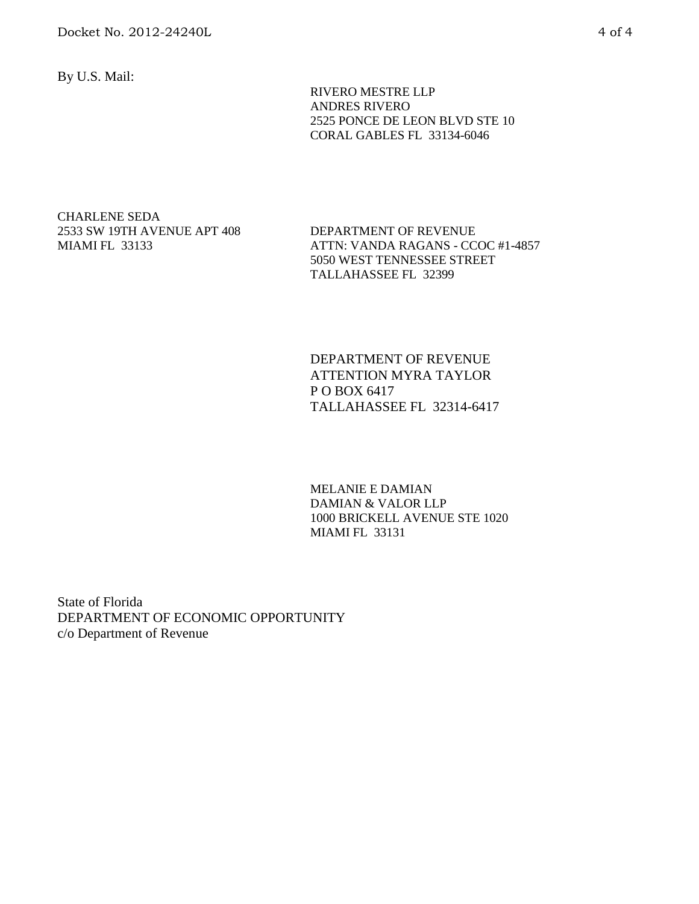By U.S. Mail:

 RIVERO MESTRE LLP ANDRES RIVERO 2525 PONCE DE LEON BLVD STE 10 CORAL GABLES FL 33134-6046

CHARLENE SEDA 2533 SW 19TH AVENUE APT 408 MIAMI FL 33133

DEPARTMENT OF REVENUE ATTN: VANDA RAGANS - CCOC #1-4857 5050 WEST TENNESSEE STREET TALLAHASSEE FL 32399

DEPARTMENT OF REVENUE ATTENTION MYRA TAYLOR P O BOX 6417 TALLAHASSEE FL 32314-6417

MELANIE E DAMIAN DAMIAN & VALOR LLP 1000 BRICKELL AVENUE STE 1020 MIAMI FL 33131

State of Florida DEPARTMENT OF ECONOMIC OPPORTUNITY c/o Department of Revenue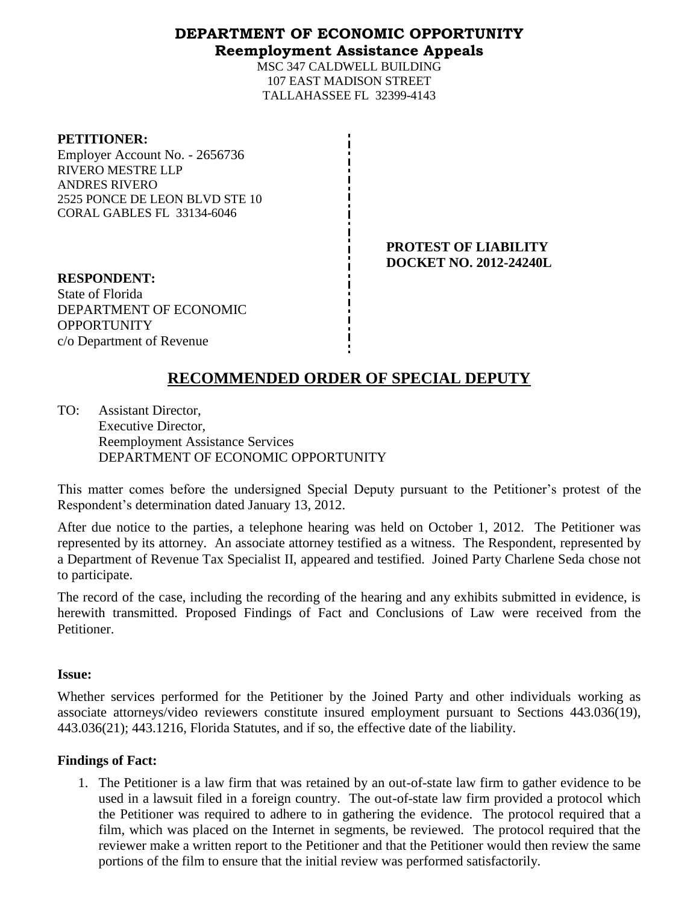## **DEPARTMENT OF ECONOMIC OPPORTUNITY Reemployment Assistance Appeals**

MSC 347 CALDWELL BUILDING 107 EAST MADISON STREET TALLAHASSEE FL 32399-4143

#### **PETITIONER:**

Employer Account No. - 2656736 RIVERO MESTRE LLP ANDRES RIVERO 2525 PONCE DE LEON BLVD STE 10 CORAL GABLES FL 33134-6046

> **PROTEST OF LIABILITY DOCKET NO. 2012-24240L**

**RESPONDENT:** State of Florida DEPARTMENT OF ECONOMIC **OPPORTUNITY** c/o Department of Revenue

# **RECOMMENDED ORDER OF SPECIAL DEPUTY**

TO: Assistant Director, Executive Director, Reemployment Assistance Services DEPARTMENT OF ECONOMIC OPPORTUNITY

This matter comes before the undersigned Special Deputy pursuant to the Petitioner's protest of the Respondent's determination dated January 13, 2012.

After due notice to the parties, a telephone hearing was held on October 1, 2012. The Petitioner was represented by its attorney. An associate attorney testified as a witness. The Respondent, represented by a Department of Revenue Tax Specialist II, appeared and testified. Joined Party Charlene Seda chose not to participate.

The record of the case, including the recording of the hearing and any exhibits submitted in evidence, is herewith transmitted. Proposed Findings of Fact and Conclusions of Law were received from the Petitioner.

## **Issue:**

Whether services performed for the Petitioner by the Joined Party and other individuals working as associate attorneys/video reviewers constitute insured employment pursuant to Sections 443.036(19), 443.036(21); 443.1216, Florida Statutes, and if so, the effective date of the liability.

## **Findings of Fact:**

1. The Petitioner is a law firm that was retained by an out-of-state law firm to gather evidence to be used in a lawsuit filed in a foreign country. The out-of-state law firm provided a protocol which the Petitioner was required to adhere to in gathering the evidence. The protocol required that a film, which was placed on the Internet in segments, be reviewed. The protocol required that the reviewer make a written report to the Petitioner and that the Petitioner would then review the same portions of the film to ensure that the initial review was performed satisfactorily.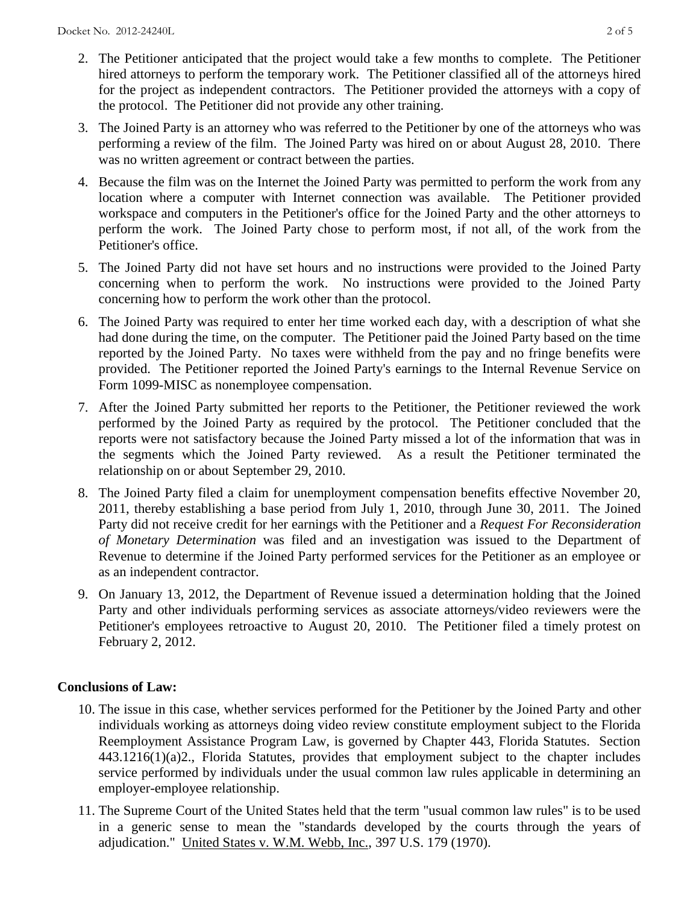- 2. The Petitioner anticipated that the project would take a few months to complete. The Petitioner hired attorneys to perform the temporary work. The Petitioner classified all of the attorneys hired for the project as independent contractors. The Petitioner provided the attorneys with a copy of the protocol. The Petitioner did not provide any other training.
- 3. The Joined Party is an attorney who was referred to the Petitioner by one of the attorneys who was performing a review of the film. The Joined Party was hired on or about August 28, 2010. There was no written agreement or contract between the parties.
- 4. Because the film was on the Internet the Joined Party was permitted to perform the work from any location where a computer with Internet connection was available. The Petitioner provided workspace and computers in the Petitioner's office for the Joined Party and the other attorneys to perform the work. The Joined Party chose to perform most, if not all, of the work from the Petitioner's office.
- 5. The Joined Party did not have set hours and no instructions were provided to the Joined Party concerning when to perform the work. No instructions were provided to the Joined Party concerning how to perform the work other than the protocol.
- 6. The Joined Party was required to enter her time worked each day, with a description of what she had done during the time, on the computer. The Petitioner paid the Joined Party based on the time reported by the Joined Party. No taxes were withheld from the pay and no fringe benefits were provided. The Petitioner reported the Joined Party's earnings to the Internal Revenue Service on Form 1099-MISC as nonemployee compensation.
- 7. After the Joined Party submitted her reports to the Petitioner, the Petitioner reviewed the work performed by the Joined Party as required by the protocol. The Petitioner concluded that the reports were not satisfactory because the Joined Party missed a lot of the information that was in the segments which the Joined Party reviewed. As a result the Petitioner terminated the relationship on or about September 29, 2010.
- 8. The Joined Party filed a claim for unemployment compensation benefits effective November 20, 2011, thereby establishing a base period from July 1, 2010, through June 30, 2011. The Joined Party did not receive credit for her earnings with the Petitioner and a *Request For Reconsideration of Monetary Determination* was filed and an investigation was issued to the Department of Revenue to determine if the Joined Party performed services for the Petitioner as an employee or as an independent contractor.
- 9. On January 13, 2012, the Department of Revenue issued a determination holding that the Joined Party and other individuals performing services as associate attorneys/video reviewers were the Petitioner's employees retroactive to August 20, 2010. The Petitioner filed a timely protest on February 2, 2012.

## **Conclusions of Law:**

- 10. The issue in this case, whether services performed for the Petitioner by the Joined Party and other individuals working as attorneys doing video review constitute employment subject to the Florida Reemployment Assistance Program Law, is governed by Chapter 443, Florida Statutes. Section 443.1216(1)(a)2., Florida Statutes, provides that employment subject to the chapter includes service performed by individuals under the usual common law rules applicable in determining an employer-employee relationship.
- 11. The Supreme Court of the United States held that the term "usual common law rules" is to be used in a generic sense to mean the "standards developed by the courts through the years of adjudication." United States v. W.M. Webb, Inc., 397 U.S. 179 (1970).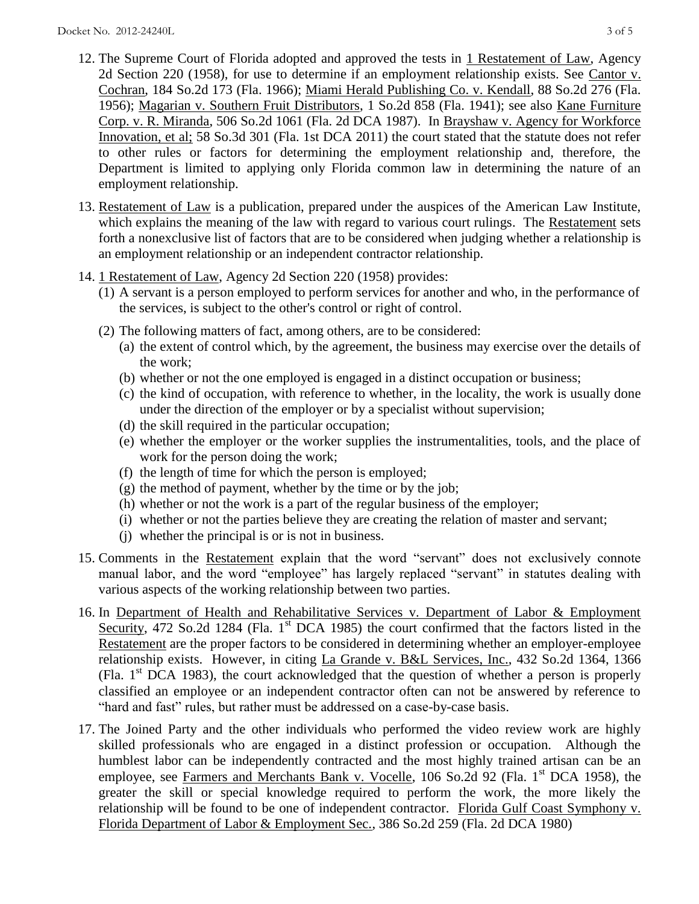- 12. The Supreme Court of Florida adopted and approved the tests in 1 Restatement of Law, Agency 2d Section 220 (1958), for use to determine if an employment relationship exists. See Cantor v. Cochran, 184 So.2d 173 (Fla. 1966); Miami Herald Publishing Co. v. Kendall, 88 So.2d 276 (Fla. 1956); Magarian v. Southern Fruit Distributors, 1 So.2d 858 (Fla. 1941); see also Kane Furniture Corp. v. R. Miranda, 506 So.2d 1061 (Fla. 2d DCA 1987). In Brayshaw v. Agency for Workforce Innovation, et al; 58 So.3d 301 (Fla. 1st DCA 2011) the court stated that the statute does not refer to other rules or factors for determining the employment relationship and, therefore, the Department is limited to applying only Florida common law in determining the nature of an employment relationship.
- 13. Restatement of Law is a publication, prepared under the auspices of the American Law Institute, which explains the meaning of the law with regard to various court rulings. The Restatement sets forth a nonexclusive list of factors that are to be considered when judging whether a relationship is an employment relationship or an independent contractor relationship.
- 14. 1 Restatement of Law, Agency 2d Section 220 (1958) provides:
	- (1) A servant is a person employed to perform services for another and who, in the performance of the services, is subject to the other's control or right of control.
	- (2) The following matters of fact, among others, are to be considered:
		- (a) the extent of control which, by the agreement, the business may exercise over the details of the work;
		- (b) whether or not the one employed is engaged in a distinct occupation or business;
		- (c) the kind of occupation, with reference to whether, in the locality, the work is usually done under the direction of the employer or by a specialist without supervision;
		- (d) the skill required in the particular occupation;
		- (e) whether the employer or the worker supplies the instrumentalities, tools, and the place of work for the person doing the work;
		- (f) the length of time for which the person is employed;
		- $(g)$  the method of payment, whether by the time or by the job;
		- (h) whether or not the work is a part of the regular business of the employer;
		- (i) whether or not the parties believe they are creating the relation of master and servant;
		- (j) whether the principal is or is not in business.
- 15. Comments in the Restatement explain that the word "servant" does not exclusively connote manual labor, and the word "employee" has largely replaced "servant" in statutes dealing with various aspects of the working relationship between two parties.
- 16. In Department of Health and Rehabilitative Services v. Department of Labor & Employment Security, 472 So.2d 1284 (Fla. 1<sup>st</sup> DCA 1985) the court confirmed that the factors listed in the Restatement are the proper factors to be considered in determining whether an employer-employee relationship exists. However, in citing La Grande v. B&L Services, Inc., 432 So.2d 1364, 1366 (Fla.  $1<sup>st</sup> DCA$  1983), the court acknowledged that the question of whether a person is properly classified an employee or an independent contractor often can not be answered by reference to "hard and fast" rules, but rather must be addressed on a case-by-case basis.
- 17. The Joined Party and the other individuals who performed the video review work are highly skilled professionals who are engaged in a distinct profession or occupation. Although the humblest labor can be independently contracted and the most highly trained artisan can be an employee, see Farmers and Merchants Bank v. Vocelle,  $106$  So.2d 92 (Fla. 1<sup>st</sup> DCA 1958), the greater the skill or special knowledge required to perform the work, the more likely the relationship will be found to be one of independent contractor. Florida Gulf Coast Symphony v. Florida Department of Labor & Employment Sec., 386 So.2d 259 (Fla. 2d DCA 1980)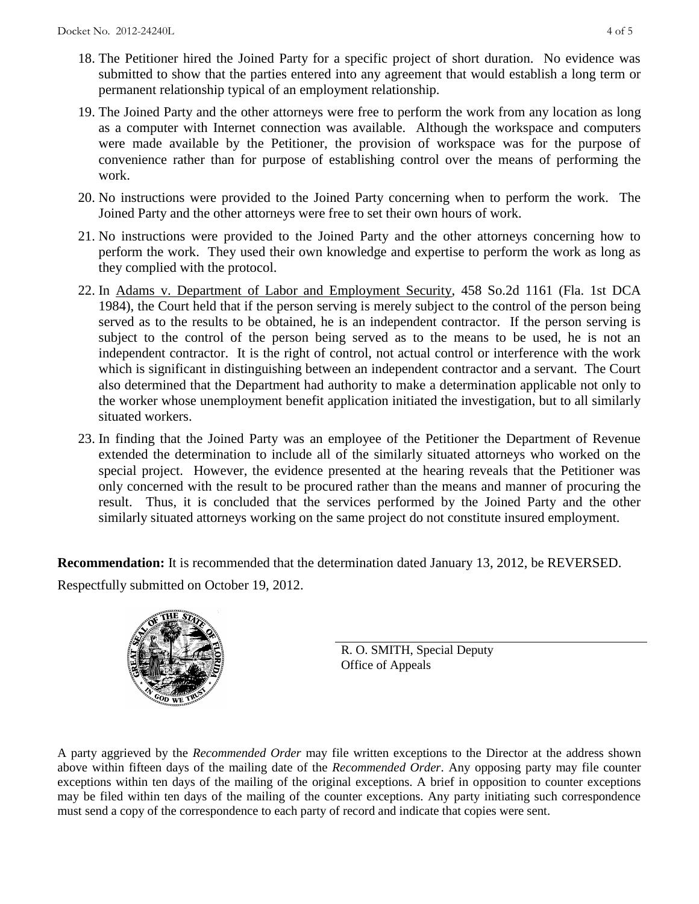- 18. The Petitioner hired the Joined Party for a specific project of short duration. No evidence was submitted to show that the parties entered into any agreement that would establish a long term or permanent relationship typical of an employment relationship.
- 19. The Joined Party and the other attorneys were free to perform the work from any location as long as a computer with Internet connection was available. Although the workspace and computers were made available by the Petitioner, the provision of workspace was for the purpose of convenience rather than for purpose of establishing control over the means of performing the work.
- 20. No instructions were provided to the Joined Party concerning when to perform the work. The Joined Party and the other attorneys were free to set their own hours of work.
- 21. No instructions were provided to the Joined Party and the other attorneys concerning how to perform the work. They used their own knowledge and expertise to perform the work as long as they complied with the protocol.
- 22. In Adams v. Department of Labor and Employment Security, 458 So.2d 1161 (Fla. 1st DCA 1984), the Court held that if the person serving is merely subject to the control of the person being served as to the results to be obtained, he is an independent contractor. If the person serving is subject to the control of the person being served as to the means to be used, he is not an independent contractor. It is the right of control, not actual control or interference with the work which is significant in distinguishing between an independent contractor and a servant. The Court also determined that the Department had authority to make a determination applicable not only to the worker whose unemployment benefit application initiated the investigation, but to all similarly situated workers.
- 23. In finding that the Joined Party was an employee of the Petitioner the Department of Revenue extended the determination to include all of the similarly situated attorneys who worked on the special project. However, the evidence presented at the hearing reveals that the Petitioner was only concerned with the result to be procured rather than the means and manner of procuring the result. Thus, it is concluded that the services performed by the Joined Party and the other similarly situated attorneys working on the same project do not constitute insured employment.

**Recommendation:** It is recommended that the determination dated January 13, 2012, be REVERSED. Respectfully submitted on October 19, 2012.



R. O. SMITH, Special Deputy Office of Appeals

A party aggrieved by the *Recommended Order* may file written exceptions to the Director at the address shown above within fifteen days of the mailing date of the *Recommended Order*. Any opposing party may file counter exceptions within ten days of the mailing of the original exceptions. A brief in opposition to counter exceptions may be filed within ten days of the mailing of the counter exceptions. Any party initiating such correspondence must send a copy of the correspondence to each party of record and indicate that copies were sent.